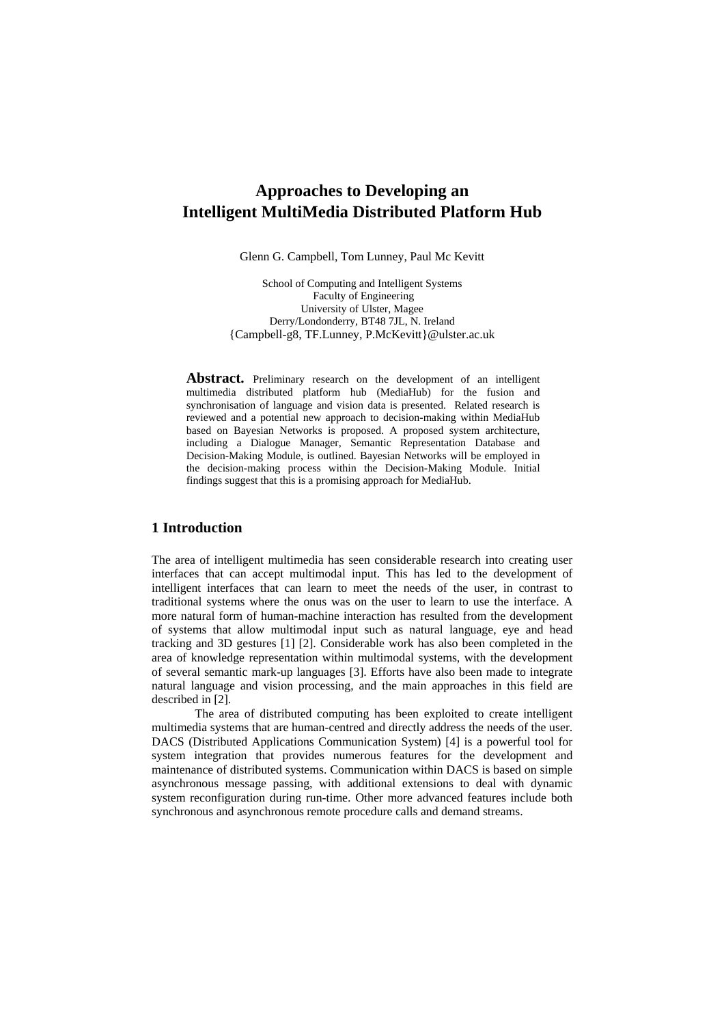# **Approaches to Developing an Intelligent MultiMedia Distributed Platform Hub**

Glenn G. Campbell, Tom Lunney, Paul Mc Kevitt

School of Computing and Intelligent Systems Faculty of Engineering University of Ulster, Magee Derry/Londonderry, BT48 7JL, N. Ireland {Campbell-g8, TF.Lunney, P.McKevitt}@ulster.ac.uk

Abstract. Preliminary research on the development of an intelligent multimedia distributed platform hub (MediaHub) for the fusion and synchronisation of language and vision data is presented. Related research is reviewed and a potential new approach to decision-making within MediaHub based on Bayesian Networks is proposed. A proposed system architecture, including a Dialogue Manager, Semantic Representation Database and Decision-Making Module, is outlined. Bayesian Networks will be employed in the decision-making process within the Decision-Making Module. Initial findings suggest that this is a promising approach for MediaHub.

# **1 Introduction**

The area of intelligent multimedia has seen considerable research into creating user interfaces that can accept multimodal input. This has led to the development of intelligent interfaces that can learn to meet the needs of the user, in contrast to traditional systems where the onus was on the user to learn to use the interface. A more natural form of human-machine interaction has resulted from the development of systems that allow multimodal input such as natural language, eye and head tracking and 3D gestures [1] [2]. Considerable work has also been completed in the area of knowledge representation within multimodal systems, with the development of several semantic mark-up languages [3]. Efforts have also been made to integrate natural language and vision processing, and the main approaches in this field are described in [2].

 The area of distributed computing has been exploited to create intelligent multimedia systems that are human-centred and directly address the needs of the user. DACS (Distributed Applications Communication System) [4] is a powerful tool for system integration that provides numerous features for the development and maintenance of distributed systems. Communication within DACS is based on simple asynchronous message passing, with additional extensions to deal with dynamic system reconfiguration during run-time. Other more advanced features include both synchronous and asynchronous remote procedure calls and demand streams.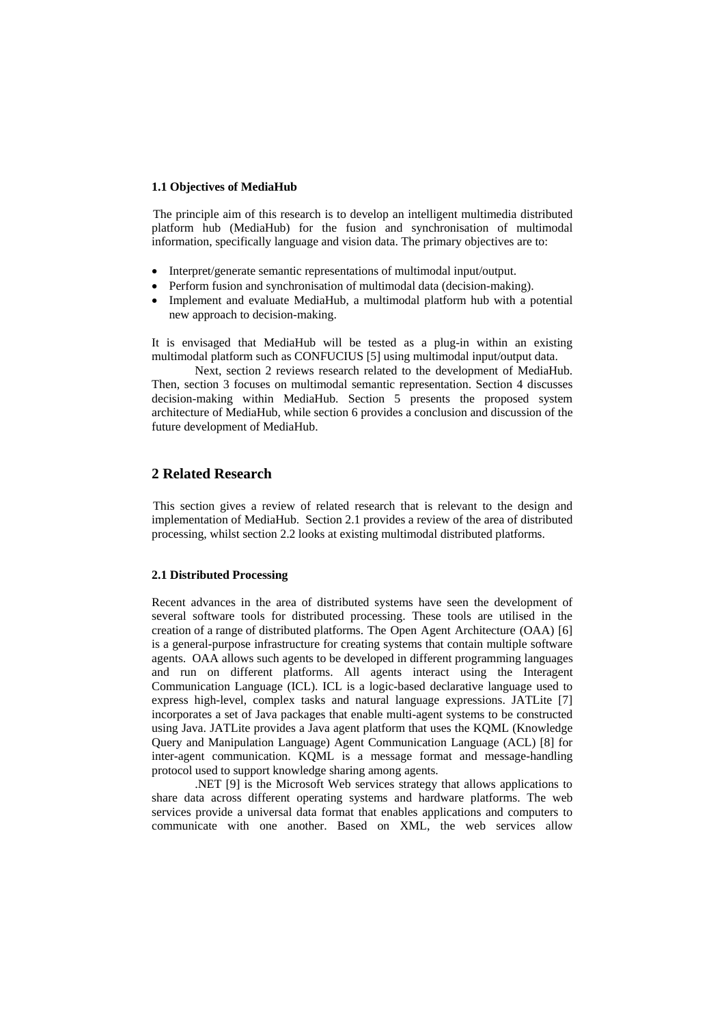#### **1.1 Objectives of MediaHub**

 The principle aim of this research is to develop an intelligent multimedia distributed platform hub (MediaHub) for the fusion and synchronisation of multimodal information, specifically language and vision data. The primary objectives are to:

- Interpret/generate semantic representations of multimodal input/output.
- Perform fusion and synchronisation of multimodal data (decision-making).
- Implement and evaluate MediaHub, a multimodal platform hub with a potential new approach to decision-making.

It is envisaged that MediaHub will be tested as a plug-in within an existing multimodal platform such as CONFUCIUS [5] using multimodal input/output data.

 Next, section 2 reviews research related to the development of MediaHub. Then, section 3 focuses on multimodal semantic representation. Section 4 discusses decision-making within MediaHub. Section 5 presents the proposed system architecture of MediaHub, while section 6 provides a conclusion and discussion of the future development of MediaHub.

# **2 Related Research**

 This section gives a review of related research that is relevant to the design and implementation of MediaHub. Section 2.1 provides a review of the area of distributed processing, whilst section 2.2 looks at existing multimodal distributed platforms.

#### **2.1 Distributed Processing**

Recent advances in the area of distributed systems have seen the development of several software tools for distributed processing. These tools are utilised in the creation of a range of distributed platforms. The Open Agent Architecture (OAA) [6] is a general-purpose infrastructure for creating systems that contain multiple software agents. OAA allows such agents to be developed in different programming languages and run on different platforms. All agents interact using the Interagent Communication Language (ICL). ICL is a logic-based declarative language used to express high-level, complex tasks and natural language expressions. JATLite [7] incorporates a set of Java packages that enable multi-agent systems to be constructed using Java. JATLite provides a Java agent platform that uses the KQML (Knowledge Query and Manipulation Language) Agent Communication Language (ACL) [8] for inter-agent communication. KQML is a message format and message-handling protocol used to support knowledge sharing among agents.

 .NET [9] is the Microsoft Web services strategy that allows applications to share data across different operating systems and hardware platforms. The web services provide a universal data format that enables applications and computers to communicate with one another. Based on XML, the web services allow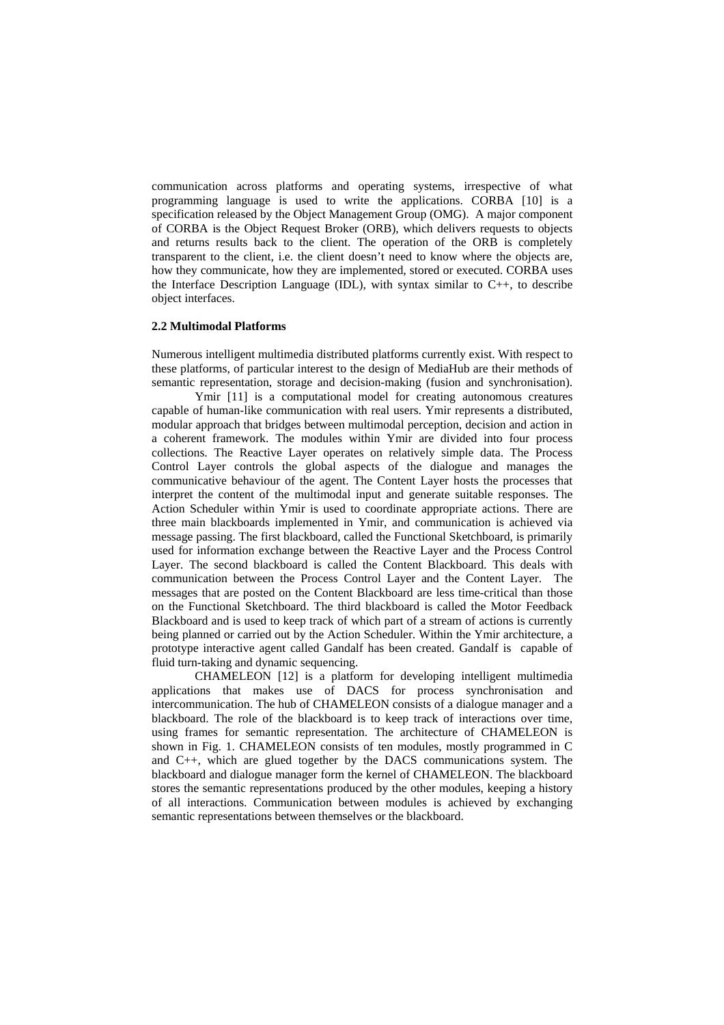communication across platforms and operating systems, irrespective of what programming language is used to write the applications. CORBA [10] is a specification released by the Object Management Group (OMG). A major component of CORBA is the Object Request Broker (ORB), which delivers requests to objects and returns results back to the client. The operation of the ORB is completely transparent to the client, i.e. the client doesn't need to know where the objects are, how they communicate, how they are implemented, stored or executed. CORBA uses the Interface Description Language (IDL), with syntax similar to C++, to describe object interfaces.

#### **2.2 Multimodal Platforms**

Numerous intelligent multimedia distributed platforms currently exist. With respect to these platforms, of particular interest to the design of MediaHub are their methods of semantic representation, storage and decision-making (fusion and synchronisation).

Ymir [11] is a computational model for creating autonomous creatures capable of human-like communication with real users. Ymir represents a distributed, modular approach that bridges between multimodal perception, decision and action in a coherent framework. The modules within Ymir are divided into four process collections. The Reactive Layer operates on relatively simple data. The Process Control Layer controls the global aspects of the dialogue and manages the communicative behaviour of the agent. The Content Layer hosts the processes that interpret the content of the multimodal input and generate suitable responses. The Action Scheduler within Ymir is used to coordinate appropriate actions. There are three main blackboards implemented in Ymir, and communication is achieved via message passing. The first blackboard, called the Functional Sketchboard, is primarily used for information exchange between the Reactive Layer and the Process Control Layer. The second blackboard is called the Content Blackboard. This deals with communication between the Process Control Layer and the Content Layer. The messages that are posted on the Content Blackboard are less time-critical than those on the Functional Sketchboard. The third blackboard is called the Motor Feedback Blackboard and is used to keep track of which part of a stream of actions is currently being planned or carried out by the Action Scheduler. Within the Ymir architecture, a prototype interactive agent called Gandalf has been created. Gandalf is capable of fluid turn-taking and dynamic sequencing.

 CHAMELEON [12] is a platform for developing intelligent multimedia applications that makes use of DACS for process synchronisation and intercommunication. The hub of CHAMELEON consists of a dialogue manager and a blackboard. The role of the blackboard is to keep track of interactions over time, using frames for semantic representation. The architecture of CHAMELEON is shown in Fig. 1. CHAMELEON consists of ten modules, mostly programmed in C and C++, which are glued together by the DACS communications system. The blackboard and dialogue manager form the kernel of CHAMELEON. The blackboard stores the semantic representations produced by the other modules, keeping a history of all interactions. Communication between modules is achieved by exchanging semantic representations between themselves or the blackboard.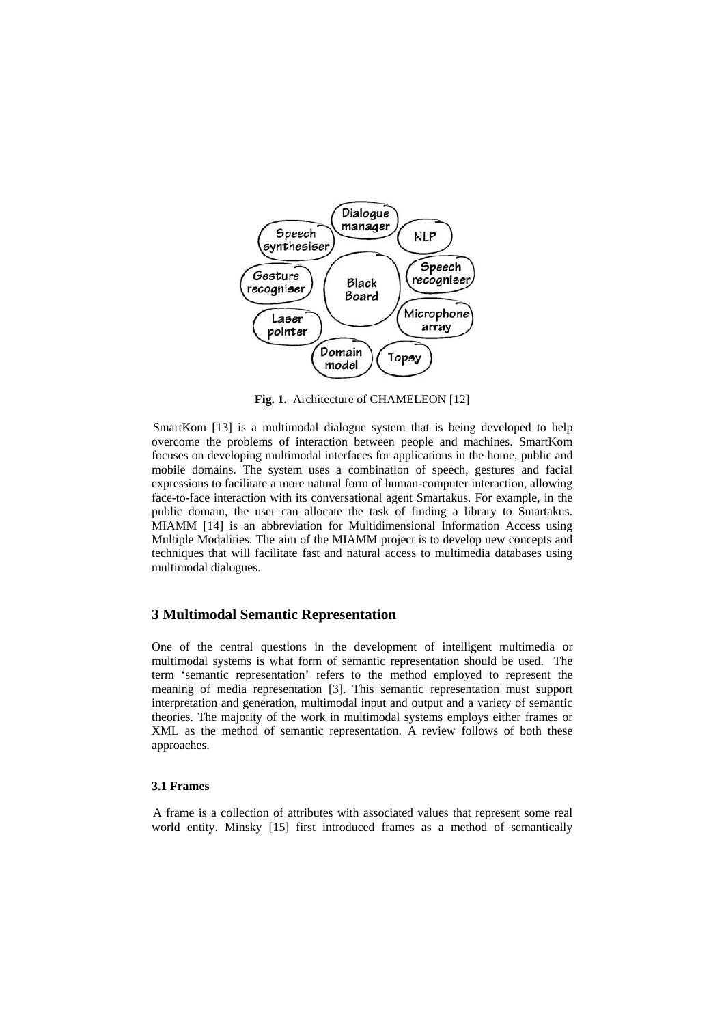

**Fig. 1.** Architecture of CHAMELEON [12]

SmartKom [13] is a multimodal dialogue system that is being developed to help overcome the problems of interaction between people and machines. SmartKom focuses on developing multimodal interfaces for applications in the home, public and mobile domains. The system uses a combination of speech, gestures and facial expressions to facilitate a more natural form of human-computer interaction, allowing face-to-face interaction with its conversational agent Smartakus. For example, in the public domain, the user can allocate the task of finding a library to Smartakus. MIAMM [14] is an abbreviation for Multidimensional Information Access using Multiple Modalities. The aim of the MIAMM project is to develop new concepts and techniques that will facilitate fast and natural access to multimedia databases using multimodal dialogues.

#### **3 Multimodal Semantic Representation**

One of the central questions in the development of intelligent multimedia or multimodal systems is what form of semantic representation should be used. The term 'semantic representation' refers to the method employed to represent the meaning of media representation [3]. This semantic representation must support interpretation and generation, multimodal input and output and a variety of semantic theories. The majority of the work in multimodal systems employs either frames or XML as the method of semantic representation. A review follows of both these approaches.

#### **3.1 Frames**

A frame is a collection of attributes with associated values that represent some real world entity. Minsky [15] first introduced frames as a method of semantically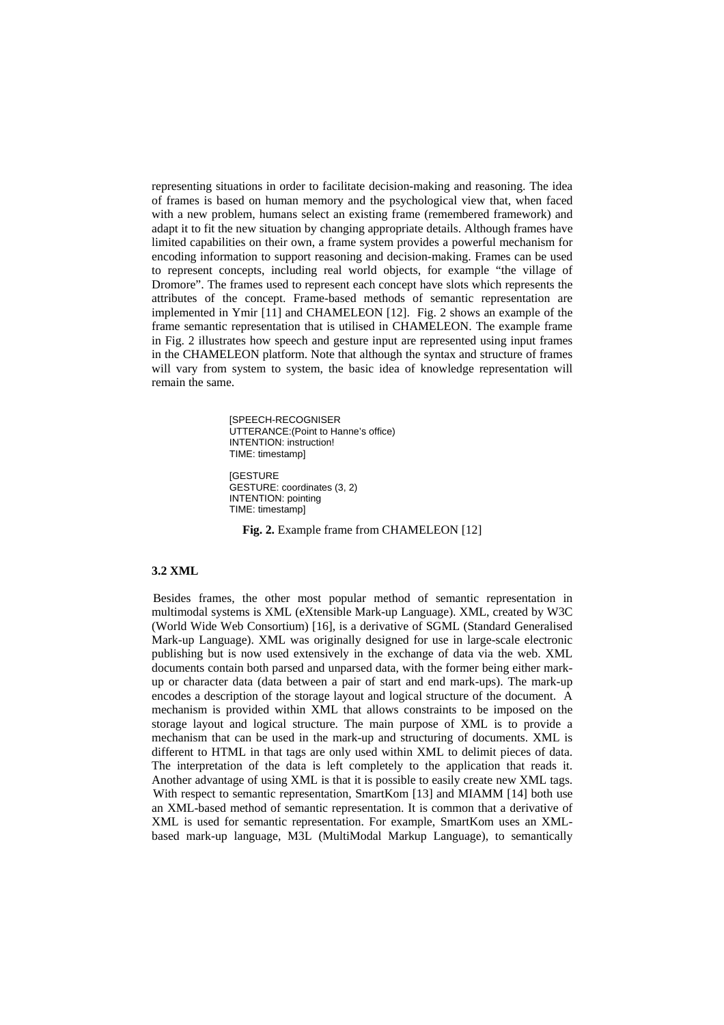representing situations in order to facilitate decision-making and reasoning. The idea of frames is based on human memory and the psychological view that, when faced with a new problem, humans select an existing frame (remembered framework) and adapt it to fit the new situation by changing appropriate details. Although frames have limited capabilities on their own, a frame system provides a powerful mechanism for encoding information to support reasoning and decision-making. Frames can be used to represent concepts, including real world objects, for example "the village of Dromore". The frames used to represent each concept have slots which represents the attributes of the concept. Frame-based methods of semantic representation are implemented in Ymir [11] and CHAMELEON [12]. Fig. 2 shows an example of the frame semantic representation that is utilised in CHAMELEON. The example frame in Fig. 2 illustrates how speech and gesture input are represented using input frames in the CHAMELEON platform. Note that although the syntax and structure of frames will vary from system to system, the basic idea of knowledge representation will remain the same.

> [SPEECH-RECOGNISER UTTERANCE:(Point to Hanne's office) INTENTION: instruction! TIME: timestamp] **IGESTURE** GESTURE: coordinates (3, 2) INTENTION: pointing TIME: timestamp]

Fig. 2. Example frame from CHAMELEON [12]

#### **3.2 XML**

 Besides frames, the other most popular method of semantic representation in multimodal systems is XML (eXtensible Mark-up Language). XML, created by W3C (World Wide Web Consortium) [16], is a derivative of SGML (Standard Generalised Mark-up Language). XML was originally designed for use in large-scale electronic publishing but is now used extensively in the exchange of data via the web. XML documents contain both parsed and unparsed data, with the former being either markup or character data (data between a pair of start and end mark-ups). The mark-up encodes a description of the storage layout and logical structure of the document. A mechanism is provided within XML that allows constraints to be imposed on the storage layout and logical structure. The main purpose of XML is to provide a mechanism that can be used in the mark-up and structuring of documents. XML is different to HTML in that tags are only used within XML to delimit pieces of data. The interpretation of the data is left completely to the application that reads it. Another advantage of using XML is that it is possible to easily create new XML tags. With respect to semantic representation, SmartKom [13] and MIAMM [14] both use an XML-based method of semantic representation. It is common that a derivative of XML is used for semantic representation. For example, SmartKom uses an XMLbased mark-up language, M3L (MultiModal Markup Language), to semantically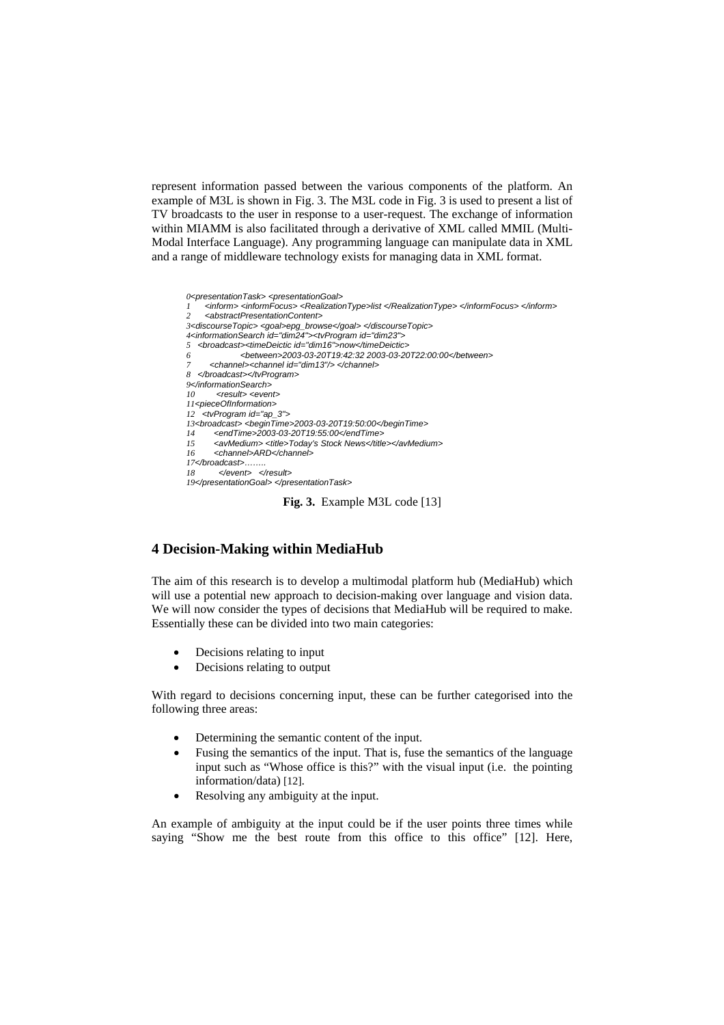represent information passed between the various components of the platform. An example of M3L is shown in Fig. 3. The M3L code in Fig. 3 is used to present a list of TV broadcasts to the user in response to a user-request. The exchange of information within MIAMM is also facilitated through a derivative of XML called MMIL (Multi-Modal Interface Language). Any programming language can manipulate data in XML and a range of middleware technology exists for managing data in XML format.



#### **4 Decision-Making within MediaHub**

The aim of this research is to develop a multimodal platform hub (MediaHub) which will use a potential new approach to decision-making over language and vision data. We will now consider the types of decisions that MediaHub will be required to make. Essentially these can be divided into two main categories:

- Decisions relating to input
- Decisions relating to output

With regard to decisions concerning input, these can be further categorised into the following three areas:

- Determining the semantic content of the input.
- Fusing the semantics of the input. That is, fuse the semantics of the language input such as "Whose office is this?" with the visual input (i.e. the pointing information/data) [12].
- Resolving any ambiguity at the input.

An example of ambiguity at the input could be if the user points three times while saying "Show me the best route from this office to this office" [12]. Here,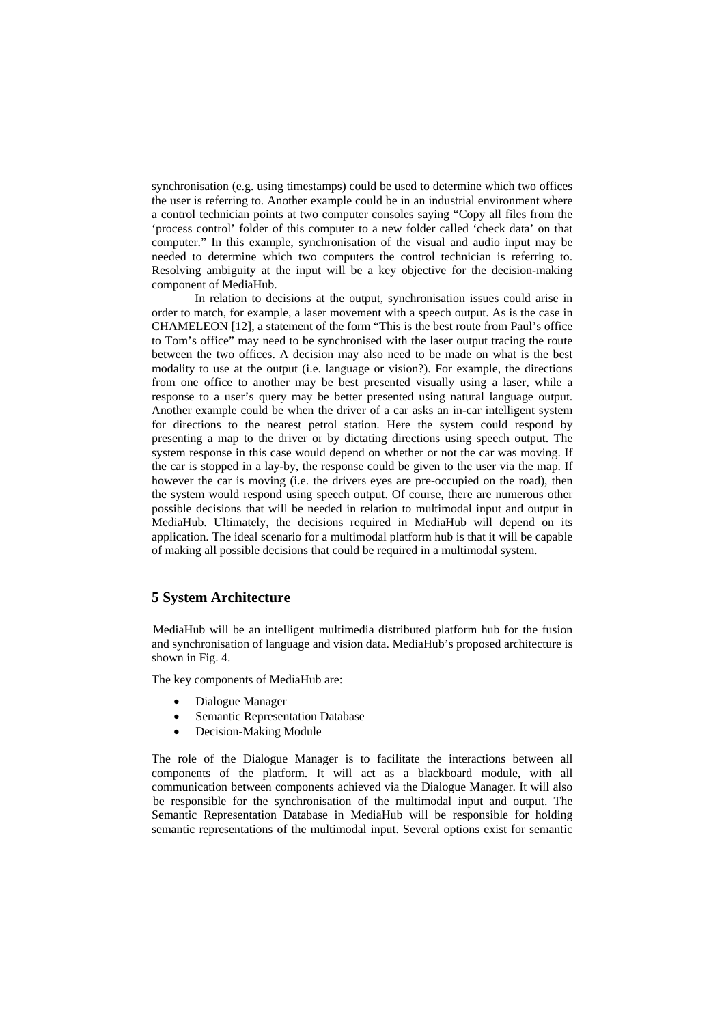synchronisation (e.g. using timestamps) could be used to determine which two offices the user is referring to. Another example could be in an industrial environment where a control technician points at two computer consoles saying "Copy all files from the 'process control' folder of this computer to a new folder called 'check data' on that computer." In this example, synchronisation of the visual and audio input may be needed to determine which two computers the control technician is referring to. Resolving ambiguity at the input will be a key objective for the decision-making component of MediaHub.

 In relation to decisions at the output, synchronisation issues could arise in order to match, for example, a laser movement with a speech output. As is the case in CHAMELEON [12], a statement of the form "This is the best route from Paul's office to Tom's office" may need to be synchronised with the laser output tracing the route between the two offices. A decision may also need to be made on what is the best modality to use at the output (i.e. language or vision?). For example, the directions from one office to another may be best presented visually using a laser, while a response to a user's query may be better presented using natural language output. Another example could be when the driver of a car asks an in-car intelligent system for directions to the nearest petrol station. Here the system could respond by presenting a map to the driver or by dictating directions using speech output. The system response in this case would depend on whether or not the car was moving. If the car is stopped in a lay-by, the response could be given to the user via the map. If however the car is moving (i.e. the drivers eyes are pre-occupied on the road), then the system would respond using speech output. Of course, there are numerous other possible decisions that will be needed in relation to multimodal input and output in MediaHub. Ultimately, the decisions required in MediaHub will depend on its application. The ideal scenario for a multimodal platform hub is that it will be capable of making all possible decisions that could be required in a multimodal system.

# **5 System Architecture**

 MediaHub will be an intelligent multimedia distributed platform hub for the fusion and synchronisation of language and vision data. MediaHub's proposed architecture is shown in Fig. 4.

The key components of MediaHub are:

- Dialogue Manager
- Semantic Representation Database
- Decision-Making Module

The role of the Dialogue Manager is to facilitate the interactions between all components of the platform. It will act as a blackboard module, with all communication between components achieved via the Dialogue Manager. It will also be responsible for the synchronisation of the multimodal input and output. The Semantic Representation Database in MediaHub will be responsible for holding semantic representations of the multimodal input. Several options exist for semantic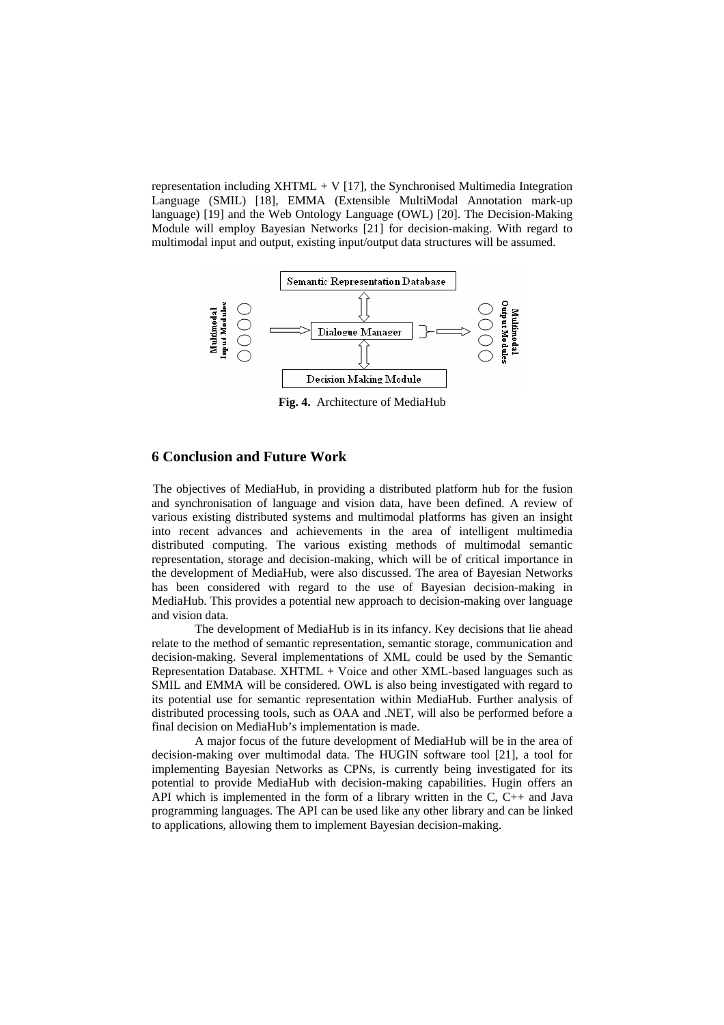representation including  $XHTML + V$  [17], the Synchronised Multimedia Integration Language (SMIL) [18], EMMA (Extensible MultiModal Annotation mark-up language) [19] and the Web Ontology Language (OWL) [20]. The Decision-Making Module will employ Bayesian Networks [21] for decision-making. With regard to multimodal input and output, existing input/output data structures will be assumed.



**Fig. 4.** Architecture of MediaHub

## **6 Conclusion and Future Work**

The objectives of MediaHub, in providing a distributed platform hub for the fusion and synchronisation of language and vision data, have been defined. A review of various existing distributed systems and multimodal platforms has given an insight into recent advances and achievements in the area of intelligent multimedia distributed computing. The various existing methods of multimodal semantic representation, storage and decision-making, which will be of critical importance in the development of MediaHub, were also discussed. The area of Bayesian Networks has been considered with regard to the use of Bayesian decision-making in MediaHub. This provides a potential new approach to decision-making over language and vision data.

The development of MediaHub is in its infancy. Key decisions that lie ahead relate to the method of semantic representation, semantic storage, communication and decision-making. Several implementations of XML could be used by the Semantic Representation Database. XHTML + Voice and other XML-based languages such as SMIL and EMMA will be considered. OWL is also being investigated with regard to its potential use for semantic representation within MediaHub. Further analysis of distributed processing tools, such as OAA and .NET, will also be performed before a final decision on MediaHub's implementation is made.

A major focus of the future development of MediaHub will be in the area of decision-making over multimodal data. The HUGIN software tool [21], a tool for implementing Bayesian Networks as CPNs, is currently being investigated for its potential to provide MediaHub with decision-making capabilities. Hugin offers an API which is implemented in the form of a library written in the C, C++ and Java programming languages. The API can be used like any other library and can be linked to applications, allowing them to implement Bayesian decision-making.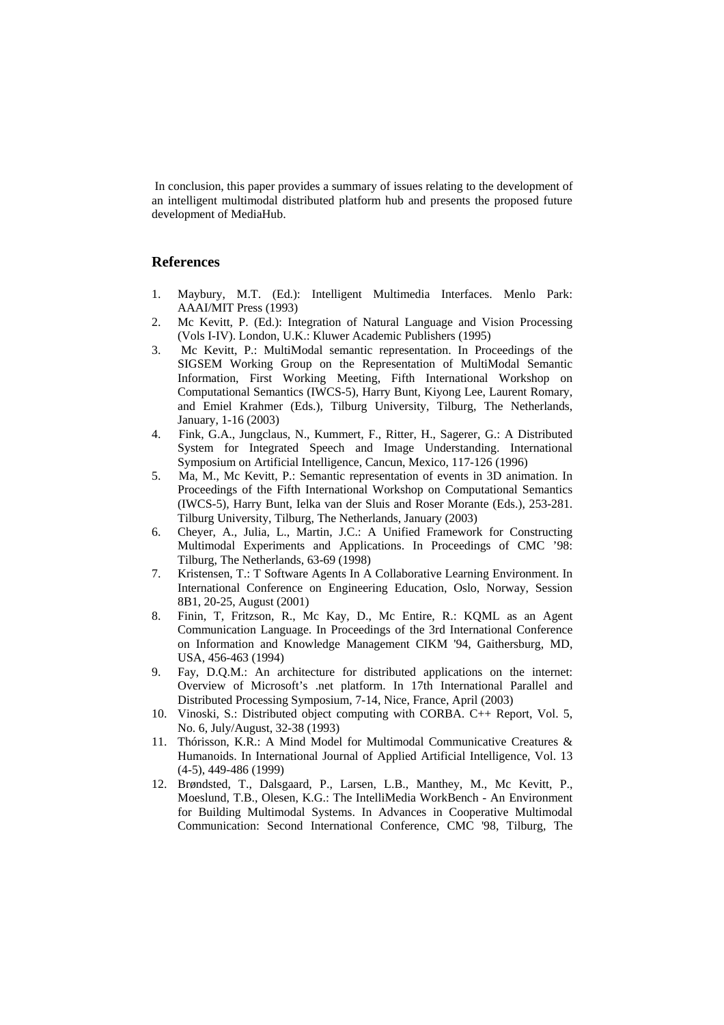In conclusion, this paper provides a summary of issues relating to the development of an intelligent multimodal distributed platform hub and presents the proposed future development of MediaHub.

## **References**

- 1. Maybury, M.T. (Ed.): Intelligent Multimedia Interfaces. Menlo Park: AAAI/MIT Press (1993)
- 2. Mc Kevitt, P. (Ed.): Integration of Natural Language and Vision Processing (Vols I-IV). London, U.K.: Kluwer Academic Publishers (1995)
- 3. Mc Kevitt, P.: MultiModal semantic representation. In Proceedings of the SIGSEM Working Group on the Representation of MultiModal Semantic Information, First Working Meeting, Fifth International Workshop on Computational Semantics (IWCS-5), Harry Bunt, Kiyong Lee, Laurent Romary, and Emiel Krahmer (Eds.), Tilburg University, Tilburg, The Netherlands, January, 1-16 (2003)
- 4. Fink, G.A., Jungclaus, N., Kummert, F., Ritter, H., Sagerer, G.: A Distributed System for Integrated Speech and Image Understanding. International Symposium on Artificial Intelligence, Cancun, Mexico, 117-126 (1996)
- 5. Ma, M., Mc Kevitt, P.: Semantic representation of events in 3D animation. In Proceedings of the Fifth International Workshop on Computational Semantics (IWCS-5), Harry Bunt, Ielka van der Sluis and Roser Morante (Eds.), 253-281. Tilburg University, Tilburg, The Netherlands, January (2003)
- 6. Cheyer, A., Julia, L., Martin, J.C.: A Unified Framework for Constructing Multimodal Experiments and Applications. In Proceedings of CMC '98: Tilburg, The Netherlands, 63-69 (1998)
- 7. Kristensen, T.: T Software Agents In A Collaborative Learning Environment. In International Conference on Engineering Education, Oslo, Norway, Session 8B1, 20-25, August (2001)
- 8. Finin, T, Fritzson, R., Mc Kay, D., Mc Entire, R.: KQML as an Agent Communication Language. In Proceedings of the 3rd International Conference on Information and Knowledge Management CIKM '94, Gaithersburg, MD, USA, 456-463 (1994)
- 9. Fay, D.Q.M.: An architecture for distributed applications on the internet: Overview of Microsoft's .net platform. In 17th International Parallel and Distributed Processing Symposium, 7-14, Nice, France, April (2003)
- 10. Vinoski, S.: Distributed object computing with CORBA. C++ Report, Vol. 5, No. 6, July/August, 32-38 (1993)
- 11. Thórisson, K.R.: A Mind Model for Multimodal Communicative Creatures & Humanoids. In International Journal of Applied Artificial Intelligence, Vol. 13 (4-5), 449-486 (1999)
- 12. Brøndsted, T., Dalsgaard, P., Larsen, L.B., Manthey, M., Mc Kevitt, P., Moeslund, T.B., Olesen, K.G.: The IntelliMedia WorkBench - An Environment for Building Multimodal Systems. In Advances in Cooperative Multimodal Communication: Second International Conference, CMC '98, Tilburg, The